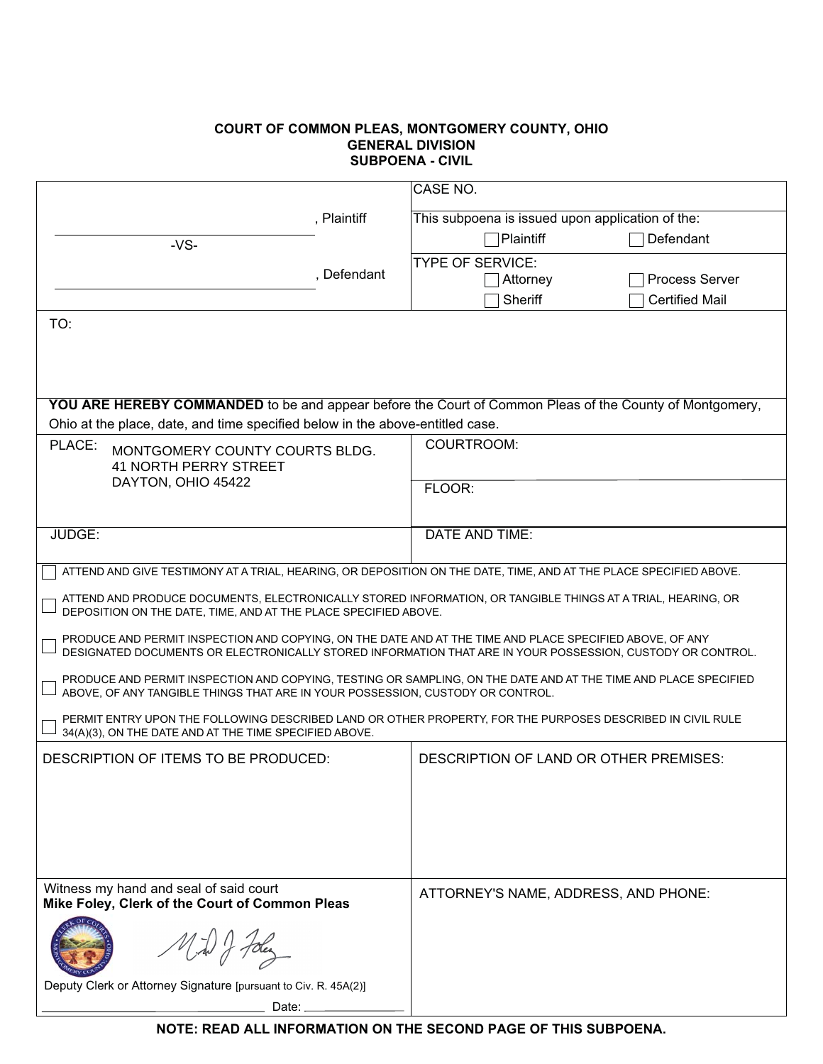## **COURT OF COMMON PLEAS, MONTGOMERY COUNTY, OHIO GURPOENA - CIVIL**

|                                                                                                                                                                                                   | CASE NO.                                                        |                                        |                       |  |  |  |
|---------------------------------------------------------------------------------------------------------------------------------------------------------------------------------------------------|-----------------------------------------------------------------|----------------------------------------|-----------------------|--|--|--|
|                                                                                                                                                                                                   | This subpoena is issued upon application of the:<br>, Plaintiff |                                        |                       |  |  |  |
| $-VS-$                                                                                                                                                                                            |                                                                 | Plaintiff                              | Defendant             |  |  |  |
|                                                                                                                                                                                                   |                                                                 | <b>TYPE OF SERVICE:</b>                |                       |  |  |  |
|                                                                                                                                                                                                   | , Defendant                                                     | Attorney                               | <b>Process Server</b> |  |  |  |
|                                                                                                                                                                                                   |                                                                 | Sheriff                                | <b>Certified Mail</b> |  |  |  |
| TO:                                                                                                                                                                                               |                                                                 |                                        |                       |  |  |  |
|                                                                                                                                                                                                   |                                                                 |                                        |                       |  |  |  |
|                                                                                                                                                                                                   |                                                                 |                                        |                       |  |  |  |
|                                                                                                                                                                                                   |                                                                 |                                        |                       |  |  |  |
| <b>YOU ARE HEREBY COMMANDED</b> to be and appear before the Court of Common Pleas of the County of Montgomery,                                                                                    |                                                                 |                                        |                       |  |  |  |
| Ohio at the place, date, and time specified below in the above-entitled case.                                                                                                                     |                                                                 |                                        |                       |  |  |  |
| PLACE:<br>MONTGOMERY COUNTY COURTS BLDG.<br><b>41 NORTH PERRY STREET</b>                                                                                                                          |                                                                 | COURTROOM:                             |                       |  |  |  |
|                                                                                                                                                                                                   |                                                                 |                                        |                       |  |  |  |
| DAYTON, OHIO 45422                                                                                                                                                                                |                                                                 | FLOOR:                                 |                       |  |  |  |
|                                                                                                                                                                                                   |                                                                 |                                        |                       |  |  |  |
| JUDGE:                                                                                                                                                                                            |                                                                 | <b>DATE AND TIME:</b>                  |                       |  |  |  |
|                                                                                                                                                                                                   |                                                                 |                                        |                       |  |  |  |
| ATTEND AND GIVE TESTIMONY AT A TRIAL, HEARING, OR DEPOSITION ON THE DATE, TIME, AND AT THE PLACE SPECIFIED ABOVE.                                                                                 |                                                                 |                                        |                       |  |  |  |
| ATTEND AND PRODUCE DOCUMENTS, ELECTRONICALLY STORED INFORMATION, OR TANGIBLE THINGS AT A TRIAL, HEARING, OR<br>DEPOSITION ON THE DATE, TIME, AND AT THE PLACE SPECIFIED ABOVE.                    |                                                                 |                                        |                       |  |  |  |
| PRODUCE AND PERMIT INSPECTION AND COPYING, ON THE DATE AND AT THE TIME AND PLACE SPECIFIED ABOVE, OF ANY                                                                                          |                                                                 |                                        |                       |  |  |  |
| DESIGNATED DOCUMENTS OR ELECTRONICALLY STORED INFORMATION THAT ARE IN YOUR POSSESSION, CUSTODY OR CONTROL.                                                                                        |                                                                 |                                        |                       |  |  |  |
| PRODUCE AND PERMIT INSPECTION AND COPYING, TESTING OR SAMPLING, ON THE DATE AND AT THE TIME AND PLACE SPECIFIED<br>ABOVE, OF ANY TANGIBLE THINGS THAT ARE IN YOUR POSSESSION, CUSTODY OR CONTROL. |                                                                 |                                        |                       |  |  |  |
| PERMIT ENTRY UPON THE FOLLOWING DESCRIBED LAND OR OTHER PROPERTY, FOR THE PURPOSES DESCRIBED IN CIVIL RULE                                                                                        |                                                                 |                                        |                       |  |  |  |
| 34(A)(3), ON THE DATE AND AT THE TIME SPECIFIED ABOVE.                                                                                                                                            |                                                                 |                                        |                       |  |  |  |
| DESCRIPTION OF ITEMS TO BE PRODUCED:                                                                                                                                                              |                                                                 | DESCRIPTION OF LAND OR OTHER PREMISES: |                       |  |  |  |
|                                                                                                                                                                                                   |                                                                 |                                        |                       |  |  |  |
|                                                                                                                                                                                                   |                                                                 |                                        |                       |  |  |  |
|                                                                                                                                                                                                   |                                                                 |                                        |                       |  |  |  |
|                                                                                                                                                                                                   |                                                                 |                                        |                       |  |  |  |
|                                                                                                                                                                                                   |                                                                 |                                        |                       |  |  |  |
| Witness my hand and seal of said court<br>Mike Foley, Clerk of the Court of Common Pleas                                                                                                          |                                                                 | ATTORNEY'S NAME, ADDRESS, AND PHONE:   |                       |  |  |  |
| $\frac{1}{2}$ or $\frac{1}{2}$                                                                                                                                                                    |                                                                 |                                        |                       |  |  |  |
| Deputy Clerk or Attorney Signature [pursuant to Civ. R. 45A(2)]                                                                                                                                   |                                                                 |                                        |                       |  |  |  |
| Date:                                                                                                                                                                                             |                                                                 |                                        |                       |  |  |  |